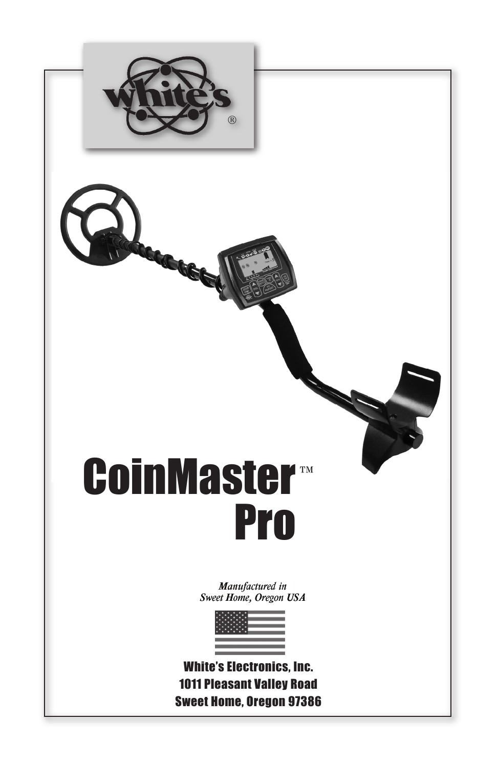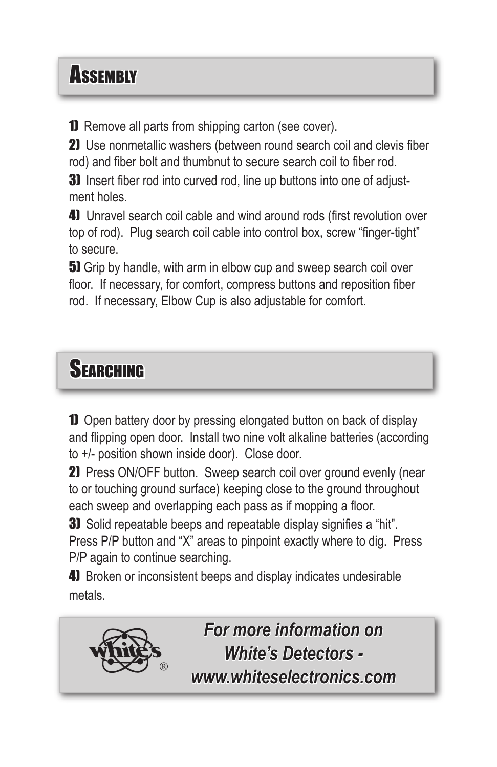## **Assembly**

1) Remove all parts from shipping carton (see cover).

2) Use nonmetallic washers (between round search coil and clevis fiber rod) and fiber bolt and thumbnut to secure search coil to fiber rod.

**3)** Insert fiber rod into curved rod, line up buttons into one of adjustment holes.

4) Unravel search coil cable and wind around rods (first revolution over top of rod). Plug search coil cable into control box, screw "finger-tight" to secure.

**5)** Grip by handle, with arm in elbow cup and sweep search coil over floor. If necessary, for comfort, compress buttons and reposition fiber rod. If necessary, Elbow Cup is also adjustable for comfort.

## **SFARCHING**

1) Open battery door by pressing elongated button on back of display and flipping open door. Install two nine volt alkaline batteries (according to +/- position shown inside door). Close door.

21 Press ON/OFF button. Sweep search coil over ground evenly (near to or touching ground surface) keeping close to the ground throughout each sweep and overlapping each pass as if mopping a floor.

**3)** Solid repeatable beeps and repeatable display signifies a "hit". Press P/P button and "X" areas to pinpoint exactly where to dig. Press P/P again to continue searching.

4) Broken or inconsistent beeps and display indicates undesirable metals.

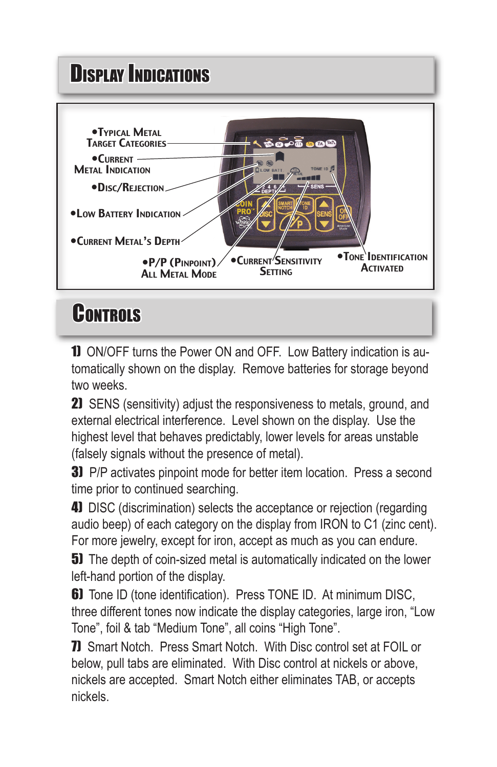## **Display Indications**



## **CONTROLS**

**1)** ON/OFF turns the Power ON and OFF. Low Battery indication is automatically shown on the display. Remove batteries for storage beyond two weeks.

21 SENS (sensitivity) adjust the responsiveness to metals, ground, and external electrical interference. Level shown on the display. Use the highest level that behaves predictably, lower levels for areas unstable (falsely signals without the presence of metal).

**3)** P/P activates pinpoint mode for better item location. Press a second time prior to continued searching.

4) DISC (discrimination) selects the acceptance or rejection (regarding audio beep) of each category on the display from IRON to C1 (zinc cent). For more jewelry, except for iron, accept as much as you can endure.

**5)** The depth of coin-sized metal is automatically indicated on the lower left-hand portion of the display.

**6)** Tone ID (tone identification). Press TONE ID. At minimum DISC, three different tones now indicate the display categories, large iron, "Low Tone", foil & tab "Medium Tone", all coins "High Tone".

**7)** Smart Notch. Press Smart Notch. With Disc control set at FOIL or below, pull tabs are eliminated. With Disc control at nickels or above, nickels are accepted. Smart Notch either eliminates TAB, or accepts nickels.